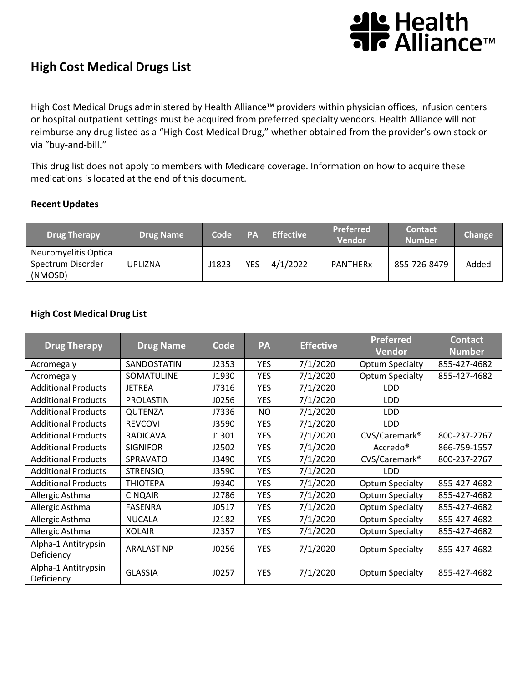# थ⊾ Health<br>नाट Alliance™

## **High Cost Medical Drugs List**

High Cost Medical Drugs administered by Health Alliance™ providers within physician offices, infusion centers or hospital outpatient settings must be acquired from preferred specialty vendors. Health Alliance will not reimburse any drug listed as a "High Cost Medical Drug," whether obtained from the provider's own stock or via "buy-and-bill."

This drug list does not apply to members with Medicare coverage. Information on how to acquire these medications is located at the end of this document.

#### **Recent Updates**

| <b>Drug Therapy</b>  | <b>Drug Name</b> | Code  | <b>PA</b> | <b>Effective</b> | <b>Preferred</b><br>Vendor | <b>Contact</b><br><b>Number</b> | Change |
|----------------------|------------------|-------|-----------|------------------|----------------------------|---------------------------------|--------|
| Neuromyelitis Optica |                  |       |           |                  |                            |                                 |        |
| Spectrum Disorder    | <b>UPLIZNA</b>   | J1823 | YES       | 4/1/2022         | <b>PANTHERx</b>            | 855-726-8479                    | Added  |
| (NMOSD)              |                  |       |           |                  |                            |                                 |        |

#### **High Cost Medical Drug List**

| <b>Drug Therapy</b>               | <b>Drug Name</b>  | Code  | PA         | <b>Effective</b> | <b>Preferred</b><br><b>Vendor</b> | <b>Contact</b><br><b>Number</b> |
|-----------------------------------|-------------------|-------|------------|------------------|-----------------------------------|---------------------------------|
| Acromegaly                        | SANDOSTATIN       | J2353 | <b>YES</b> | 7/1/2020         | Optum Specialty                   | 855-427-4682                    |
| Acromegaly                        | SOMATULINE        | J1930 | <b>YES</b> | 7/1/2020         | <b>Optum Specialty</b>            | 855-427-4682                    |
| <b>Additional Products</b>        | <b>JETREA</b>     | J7316 | <b>YES</b> | 7/1/2020         | <b>LDD</b>                        |                                 |
| <b>Additional Products</b>        | <b>PROLASTIN</b>  | J0256 | <b>YES</b> | 7/1/2020         | <b>LDD</b>                        |                                 |
| <b>Additional Products</b>        | <b>QUTENZA</b>    | J7336 | <b>NO</b>  | 7/1/2020         | <b>LDD</b>                        |                                 |
| <b>Additional Products</b>        | <b>REVCOVI</b>    | J3590 | <b>YES</b> | 7/1/2020         | <b>LDD</b>                        |                                 |
| <b>Additional Products</b>        | <b>RADICAVA</b>   | J1301 | <b>YES</b> | 7/1/2020         | CVS/Caremark <sup>®</sup>         | 800-237-2767                    |
| <b>Additional Products</b>        | <b>SIGNIFOR</b>   | J2502 | <b>YES</b> | 7/1/2020         | Accredo <sup>®</sup>              | 866-759-1557                    |
| <b>Additional Products</b>        | <b>SPRAVATO</b>   | J3490 | <b>YES</b> | 7/1/2020         | CVS/Caremark <sup>®</sup>         | 800-237-2767                    |
| <b>Additional Products</b>        | <b>STRENSIQ</b>   | J3590 | <b>YES</b> | 7/1/2020         | LDD                               |                                 |
| <b>Additional Products</b>        | <b>THIOTEPA</b>   | J9340 | <b>YES</b> | 7/1/2020         | <b>Optum Specialty</b>            | 855-427-4682                    |
| Allergic Asthma                   | <b>CINQAIR</b>    | J2786 | <b>YES</b> | 7/1/2020         | <b>Optum Specialty</b>            | 855-427-4682                    |
| Allergic Asthma                   | <b>FASENRA</b>    | J0517 | <b>YES</b> | 7/1/2020         | <b>Optum Specialty</b>            | 855-427-4682                    |
| Allergic Asthma                   | <b>NUCALA</b>     | J2182 | <b>YES</b> | 7/1/2020         | <b>Optum Specialty</b>            | 855-427-4682                    |
| Allergic Asthma                   | <b>XOLAIR</b>     | J2357 | <b>YES</b> | 7/1/2020         | <b>Optum Specialty</b>            | 855-427-4682                    |
| Alpha-1 Antitrypsin<br>Deficiency | <b>ARALAST NP</b> | J0256 | <b>YES</b> | 7/1/2020         | <b>Optum Specialty</b>            | 855-427-4682                    |
| Alpha-1 Antitrypsin<br>Deficiency | <b>GLASSIA</b>    | J0257 | <b>YES</b> | 7/1/2020         | <b>Optum Specialty</b>            | 855-427-4682                    |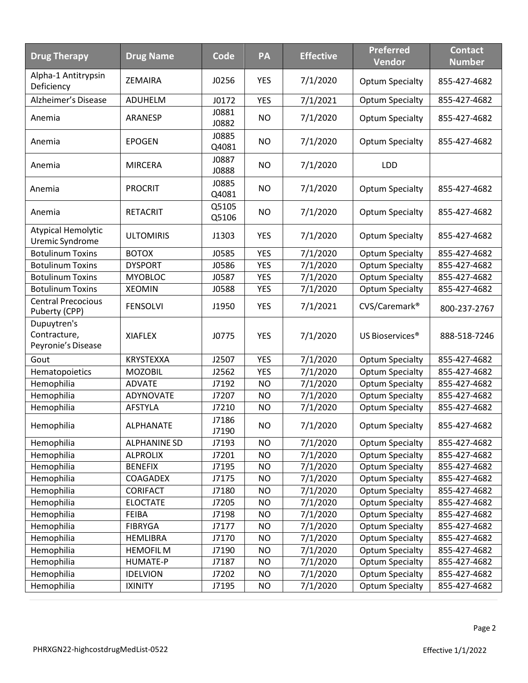| <b>Drug Therapy</b>                               | <b>Drug Name</b>    | Code           | PA         | <b>Effective</b> | <b>Preferred</b><br><b>Vendor</b> | <b>Contact</b><br><b>Number</b> |
|---------------------------------------------------|---------------------|----------------|------------|------------------|-----------------------------------|---------------------------------|
| Alpha-1 Antitrypsin<br>Deficiency                 | ZEMAIRA             | J0256          | <b>YES</b> | 7/1/2020         | <b>Optum Specialty</b>            | 855-427-4682                    |
| Alzheimer's Disease                               | ADUHELM             | J0172          | <b>YES</b> | 7/1/2021         | <b>Optum Specialty</b>            | 855-427-4682                    |
| Anemia                                            | <b>ARANESP</b>      | J0881<br>J0882 | <b>NO</b>  | 7/1/2020         | <b>Optum Specialty</b>            | 855-427-4682                    |
| Anemia                                            | <b>EPOGEN</b>       | J0885<br>Q4081 | <b>NO</b>  | 7/1/2020         | <b>Optum Specialty</b>            | 855-427-4682                    |
| Anemia                                            | <b>MIRCERA</b>      | J0887<br>J0888 | <b>NO</b>  | 7/1/2020         | <b>LDD</b>                        |                                 |
| Anemia                                            | <b>PROCRIT</b>      | J0885<br>Q4081 | <b>NO</b>  | 7/1/2020         | <b>Optum Specialty</b>            | 855-427-4682                    |
| Anemia                                            | <b>RETACRIT</b>     | Q5105<br>Q5106 | <b>NO</b>  | 7/1/2020         | <b>Optum Specialty</b>            | 855-427-4682                    |
| Atypical Hemolytic<br>Uremic Syndrome             | <b>ULTOMIRIS</b>    | J1303          | <b>YES</b> | 7/1/2020         | <b>Optum Specialty</b>            | 855-427-4682                    |
| <b>Botulinum Toxins</b>                           | <b>BOTOX</b>        | J0585          | <b>YES</b> | 7/1/2020         | <b>Optum Specialty</b>            | 855-427-4682                    |
| <b>Botulinum Toxins</b>                           | <b>DYSPORT</b>      | J0586          | <b>YES</b> | 7/1/2020         | <b>Optum Specialty</b>            | 855-427-4682                    |
| <b>Botulinum Toxins</b>                           | <b>MYOBLOC</b>      | J0587          | <b>YES</b> | 7/1/2020         | <b>Optum Specialty</b>            | 855-427-4682                    |
| <b>Botulinum Toxins</b>                           | <b>XEOMIN</b>       | J0588          | <b>YES</b> | 7/1/2020         | <b>Optum Specialty</b>            | 855-427-4682                    |
| <b>Central Precocious</b><br>Puberty (CPP)        | <b>FENSOLVI</b>     | J1950          | <b>YES</b> | 7/1/2021         | CVS/Caremark <sup>®</sup>         | 800-237-2767                    |
| Dupuytren's<br>Contracture,<br>Peyronie's Disease | <b>XIAFLEX</b>      | J0775          | <b>YES</b> | 7/1/2020         | US Bioservices <sup>®</sup>       | 888-518-7246                    |
| Gout                                              | KRYSTEXXA           | J2507          | <b>YES</b> | 7/1/2020         | <b>Optum Specialty</b>            | 855-427-4682                    |
| Hematopoietics                                    | <b>MOZOBIL</b>      | J2562          | <b>YES</b> | 7/1/2020         | <b>Optum Specialty</b>            | 855-427-4682                    |
| Hemophilia                                        | <b>ADVATE</b>       | J7192          | <b>NO</b>  | 7/1/2020         | <b>Optum Specialty</b>            | 855-427-4682                    |
| Hemophilia                                        | ADYNOVATE           | J7207          | <b>NO</b>  | 7/1/2020         | <b>Optum Specialty</b>            | 855-427-4682                    |
| Hemophilia                                        | <b>AFSTYLA</b>      | J7210          | <b>NO</b>  | 7/1/2020         | <b>Optum Specialty</b>            | 855-427-4682                    |
| Hemophilia                                        | <b>ALPHANATE</b>    | J7186<br>J7190 | <b>NO</b>  | 7/1/2020         | <b>Optum Specialty</b>            | 855-427-4682                    |
| Hemophilia                                        | <b>ALPHANINE SD</b> | J7193          | <b>NO</b>  | 7/1/2020         | <b>Optum Specialty</b>            | 855-427-4682                    |
| Hemophilia                                        | <b>ALPROLIX</b>     | J7201          | <b>NO</b>  | 7/1/2020         | <b>Optum Specialty</b>            | 855-427-4682                    |
| Hemophilia                                        | <b>BENEFIX</b>      | J7195          | <b>NO</b>  | 7/1/2020         | <b>Optum Specialty</b>            | 855-427-4682                    |
| Hemophilia                                        | COAGADEX            | J7175          | <b>NO</b>  | 7/1/2020         | <b>Optum Specialty</b>            | 855-427-4682                    |
| Hemophilia                                        | CORIFACT            | J7180          | <b>NO</b>  | 7/1/2020         | <b>Optum Specialty</b>            | 855-427-4682                    |
| Hemophilia                                        | <b>ELOCTATE</b>     | J7205          | <b>NO</b>  | 7/1/2020         | <b>Optum Specialty</b>            | 855-427-4682                    |
| Hemophilia                                        | <b>FEIBA</b>        | J7198          | <b>NO</b>  | 7/1/2020         | <b>Optum Specialty</b>            | 855-427-4682                    |
| Hemophilia                                        | <b>FIBRYGA</b>      | J7177          | <b>NO</b>  | 7/1/2020         | <b>Optum Specialty</b>            | 855-427-4682                    |
| Hemophilia                                        | <b>HEMLIBRA</b>     | J7170          | <b>NO</b>  | 7/1/2020         | <b>Optum Specialty</b>            | 855-427-4682                    |
| Hemophilia                                        | <b>HEMOFILM</b>     | J7190          | <b>NO</b>  | 7/1/2020         | <b>Optum Specialty</b>            | 855-427-4682                    |
| Hemophilia                                        | HUMATE-P            | J7187          | <b>NO</b>  | 7/1/2020         | <b>Optum Specialty</b>            | 855-427-4682                    |
| Hemophilia                                        | <b>IDELVION</b>     | J7202          | <b>NO</b>  | 7/1/2020         | <b>Optum Specialty</b>            | 855-427-4682                    |
| Hemophilia                                        | <b>IXINITY</b>      | J7195          | <b>NO</b>  | 7/1/2020         | <b>Optum Specialty</b>            | 855-427-4682                    |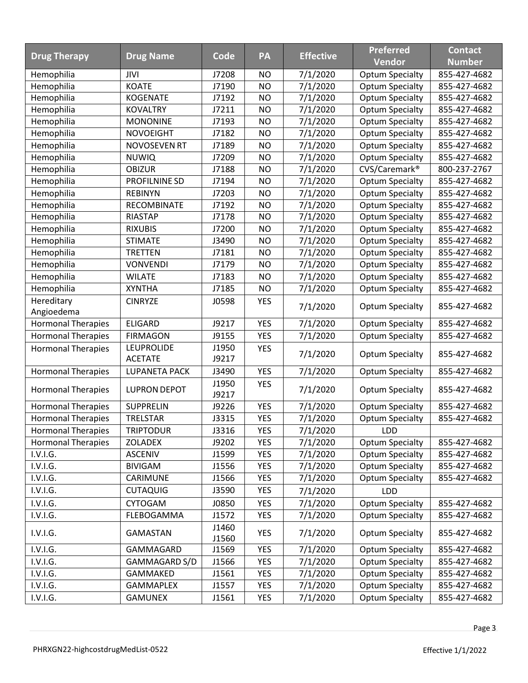|                           |                                     |                | PA         |                  | <b>Preferred</b>          | <b>Contact</b> |
|---------------------------|-------------------------------------|----------------|------------|------------------|---------------------------|----------------|
| <b>Drug Therapy</b>       | <b>Drug Name</b>                    | Code           |            | <b>Effective</b> | Vendor                    | <b>Number</b>  |
| Hemophilia                | JIVI                                | J7208          | <b>NO</b>  | 7/1/2020         | <b>Optum Specialty</b>    | 855-427-4682   |
| Hemophilia                | <b>KOATE</b>                        | J7190          | <b>NO</b>  | 7/1/2020         | <b>Optum Specialty</b>    | 855-427-4682   |
| Hemophilia                | <b>KOGENATE</b>                     | J7192          | <b>NO</b>  | 7/1/2020         | <b>Optum Specialty</b>    | 855-427-4682   |
| Hemophilia                | <b>KOVALTRY</b>                     | J7211          | <b>NO</b>  | 7/1/2020         | <b>Optum Specialty</b>    | 855-427-4682   |
| Hemophilia                | <b>MONONINE</b>                     | J7193          | <b>NO</b>  | 7/1/2020         | <b>Optum Specialty</b>    | 855-427-4682   |
| Hemophilia                | <b>NOVOEIGHT</b>                    | J7182          | <b>NO</b>  | 7/1/2020         | <b>Optum Specialty</b>    | 855-427-4682   |
| Hemophilia                | <b>NOVOSEVEN RT</b>                 | J7189          | <b>NO</b>  | 7/1/2020         | <b>Optum Specialty</b>    | 855-427-4682   |
| Hemophilia                | <b>NUWIQ</b>                        | J7209          | <b>NO</b>  | 7/1/2020         | <b>Optum Specialty</b>    | 855-427-4682   |
| Hemophilia                | <b>OBIZUR</b>                       | J7188          | <b>NO</b>  | 7/1/2020         | CVS/Caremark <sup>®</sup> | 800-237-2767   |
| Hemophilia                | PROFILNINE SD                       | J7194          | <b>NO</b>  | 7/1/2020         | <b>Optum Specialty</b>    | 855-427-4682   |
| Hemophilia                | <b>REBINYN</b>                      | J7203          | <b>NO</b>  | 7/1/2020         | <b>Optum Specialty</b>    | 855-427-4682   |
| Hemophilia                | RECOMBINATE                         | J7192          | <b>NO</b>  | 7/1/2020         | <b>Optum Specialty</b>    | 855-427-4682   |
| Hemophilia                | <b>RIASTAP</b>                      | J7178          | <b>NO</b>  | 7/1/2020         | <b>Optum Specialty</b>    | 855-427-4682   |
| Hemophilia                | <b>RIXUBIS</b>                      | J7200          | <b>NO</b>  | 7/1/2020         | <b>Optum Specialty</b>    | 855-427-4682   |
| Hemophilia                | <b>STIMATE</b>                      | J3490          | <b>NO</b>  | 7/1/2020         | <b>Optum Specialty</b>    | 855-427-4682   |
| Hemophilia                | <b>TRETTEN</b>                      | J7181          | <b>NO</b>  | 7/1/2020         | <b>Optum Specialty</b>    | 855-427-4682   |
| Hemophilia                | <b>VONVENDI</b>                     | J7179          | <b>NO</b>  | 7/1/2020         | <b>Optum Specialty</b>    | 855-427-4682   |
| Hemophilia                | <b>WILATE</b>                       | J7183          | <b>NO</b>  | 7/1/2020         | <b>Optum Specialty</b>    | 855-427-4682   |
| Hemophilia                | <b>XYNTHA</b>                       | J7185          | <b>NO</b>  | 7/1/2020         | <b>Optum Specialty</b>    | 855-427-4682   |
| Hereditary<br>Angioedema  | <b>CINRYZE</b>                      | J0598          | <b>YES</b> | 7/1/2020         | <b>Optum Specialty</b>    | 855-427-4682   |
| <b>Hormonal Therapies</b> | <b>ELIGARD</b>                      | J9217          | <b>YES</b> | 7/1/2020         | <b>Optum Specialty</b>    | 855-427-4682   |
| <b>Hormonal Therapies</b> | <b>FIRMAGON</b>                     | J9155          | <b>YES</b> | 7/1/2020         | <b>Optum Specialty</b>    | 855-427-4682   |
| <b>Hormonal Therapies</b> | <b>LEUPROLIDE</b><br><b>ACETATE</b> | J1950<br>J9217 | <b>YES</b> | 7/1/2020         | <b>Optum Specialty</b>    | 855-427-4682   |
| <b>Hormonal Therapies</b> | LUPANETA PACK                       | J3490          | <b>YES</b> | 7/1/2020         | <b>Optum Specialty</b>    | 855-427-4682   |
| <b>Hormonal Therapies</b> | <b>LUPRON DEPOT</b>                 | J1950<br>J9217 | <b>YES</b> | 7/1/2020         | <b>Optum Specialty</b>    | 855-427-4682   |
| <b>Hormonal Therapies</b> | <b>SUPPRELIN</b>                    | J9226          | <b>YES</b> | 7/1/2020         | <b>Optum Specialty</b>    | 855-427-4682   |
| <b>Hormonal Therapies</b> | TRELSTAR                            | J3315          | <b>YES</b> | 7/1/2020         | <b>Optum Specialty</b>    | 855-427-4682   |
| <b>Hormonal Therapies</b> | <b>TRIPTODUR</b>                    | J3316          | <b>YES</b> | 7/1/2020         | LDD                       |                |
| <b>Hormonal Therapies</b> | <b>ZOLADEX</b>                      | J9202          | <b>YES</b> | 7/1/2020         | <b>Optum Specialty</b>    | 855-427-4682   |
| I.V.I.G.                  | <b>ASCENIV</b>                      | J1599          | <b>YES</b> | 7/1/2020         | <b>Optum Specialty</b>    | 855-427-4682   |
| I.V.I.G.                  | <b>BIVIGAM</b>                      | J1556          | <b>YES</b> | 7/1/2020         | <b>Optum Specialty</b>    | 855-427-4682   |
| I.V.I.G.                  | CARIMUNE                            | J1566          | <b>YES</b> | 7/1/2020         | <b>Optum Specialty</b>    | 855-427-4682   |
| I.V.I.G.                  | <b>CUTAQUIG</b>                     | J3590          | <b>YES</b> | 7/1/2020         | <b>LDD</b>                |                |
| I.V.I.G.                  | <b>CYTOGAM</b>                      | J0850          | <b>YES</b> | 7/1/2020         | Optum Specialty           | 855-427-4682   |
| I.V.I.G.                  | FLEBOGAMMA                          | J1572          | <b>YES</b> | 7/1/2020         | <b>Optum Specialty</b>    | 855-427-4682   |
| I.V.I.G.                  | <b>GAMASTAN</b>                     | J1460<br>J1560 | <b>YES</b> | 7/1/2020         | <b>Optum Specialty</b>    | 855-427-4682   |
| I.V.I.G.                  | GAMMAGARD                           | J1569          | <b>YES</b> | 7/1/2020         | <b>Optum Specialty</b>    | 855-427-4682   |
| I.V.I.G.                  | GAMMAGARD S/D                       | J1566          | <b>YES</b> | 7/1/2020         | <b>Optum Specialty</b>    | 855-427-4682   |
| I.V.I.G.                  | GAMMAKED                            | J1561          | <b>YES</b> | 7/1/2020         | <b>Optum Specialty</b>    | 855-427-4682   |
| I.V.I.G.                  | <b>GAMMAPLEX</b>                    | J1557          | <b>YES</b> | 7/1/2020         | <b>Optum Specialty</b>    | 855-427-4682   |
| I.V.I.G.                  | <b>GAMUNEX</b>                      | J1561          | <b>YES</b> | 7/1/2020         | <b>Optum Specialty</b>    | 855-427-4682   |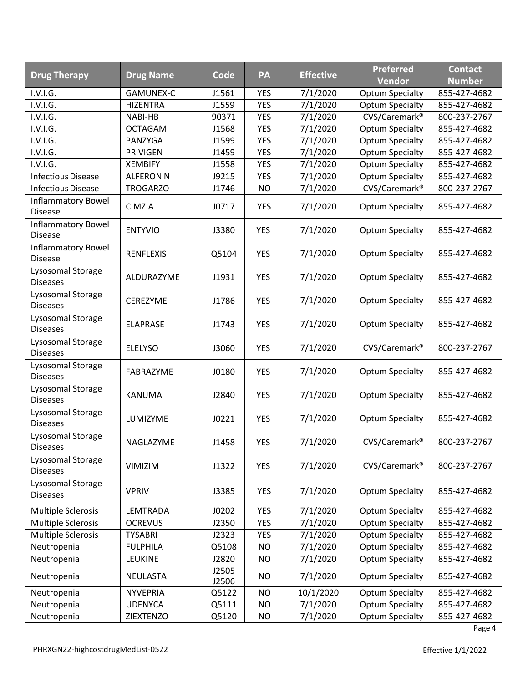| <b>Drug Therapy</b>                         | <b>Drug Name</b> | Code           | PA         | <b>Effective</b> | <b>Preferred</b>          | <b>Contact</b> |
|---------------------------------------------|------------------|----------------|------------|------------------|---------------------------|----------------|
|                                             |                  |                |            |                  | <b>Vendor</b>             | <b>Number</b>  |
| I.V.I.G.                                    | <b>GAMUNEX-C</b> | J1561          | <b>YES</b> | 7/1/2020         | <b>Optum Specialty</b>    | 855-427-4682   |
| I.V.I.G.                                    | <b>HIZENTRA</b>  | J1559          | <b>YES</b> | 7/1/2020         | <b>Optum Specialty</b>    | 855-427-4682   |
| I.V.I.G.                                    | NABI-HB          | 90371          | <b>YES</b> | 7/1/2020         | CVS/Caremark <sup>®</sup> | 800-237-2767   |
| I.V.I.G.                                    | <b>OCTAGAM</b>   | J1568          | <b>YES</b> | 7/1/2020         | <b>Optum Specialty</b>    | 855-427-4682   |
| I.V.I.G.                                    | PANZYGA          | J1599          | <b>YES</b> | 7/1/2020         | <b>Optum Specialty</b>    | 855-427-4682   |
| I.V.I.G.                                    | <b>PRIVIGEN</b>  | J1459          | <b>YES</b> | 7/1/2020         | <b>Optum Specialty</b>    | 855-427-4682   |
| I.V.I.G.                                    | <b>XEMBIFY</b>   | J1558          | <b>YES</b> | 7/1/2020         | <b>Optum Specialty</b>    | 855-427-4682   |
| <b>Infectious Disease</b>                   | <b>ALFERON N</b> | J9215          | <b>YES</b> | 7/1/2020         | <b>Optum Specialty</b>    | 855-427-4682   |
| <b>Infectious Disease</b>                   | <b>TROGARZO</b>  | J1746          | <b>NO</b>  | 7/1/2020         | CVS/Caremark <sup>®</sup> | 800-237-2767   |
| Inflammatory Bowel<br><b>Disease</b>        | <b>CIMZIA</b>    | J0717          | <b>YES</b> | 7/1/2020         | <b>Optum Specialty</b>    | 855-427-4682   |
| Inflammatory Bowel<br><b>Disease</b>        | <b>ENTYVIO</b>   | J3380          | <b>YES</b> | 7/1/2020         | <b>Optum Specialty</b>    | 855-427-4682   |
| <b>Inflammatory Bowel</b><br><b>Disease</b> | <b>RENFLEXIS</b> | Q5104          | <b>YES</b> | 7/1/2020         | <b>Optum Specialty</b>    | 855-427-4682   |
| Lysosomal Storage<br><b>Diseases</b>        | ALDURAZYME       | J1931          | <b>YES</b> | 7/1/2020         | <b>Optum Specialty</b>    | 855-427-4682   |
| Lysosomal Storage<br><b>Diseases</b>        | CEREZYME         | J1786          | <b>YES</b> | 7/1/2020         | <b>Optum Specialty</b>    | 855-427-4682   |
| Lysosomal Storage<br><b>Diseases</b>        | <b>ELAPRASE</b>  | J1743          | <b>YES</b> | 7/1/2020         | <b>Optum Specialty</b>    | 855-427-4682   |
| Lysosomal Storage<br><b>Diseases</b>        | <b>ELELYSO</b>   | J3060          | <b>YES</b> | 7/1/2020         | CVS/Caremark <sup>®</sup> | 800-237-2767   |
| Lysosomal Storage<br><b>Diseases</b>        | FABRAZYME        | J0180          | <b>YES</b> | 7/1/2020         | <b>Optum Specialty</b>    | 855-427-4682   |
| Lysosomal Storage<br><b>Diseases</b>        | <b>KANUMA</b>    | J2840          | <b>YES</b> | 7/1/2020         | <b>Optum Specialty</b>    | 855-427-4682   |
| Lysosomal Storage<br><b>Diseases</b>        | LUMIZYME         | J0221          | <b>YES</b> | 7/1/2020         | <b>Optum Specialty</b>    | 855-427-4682   |
| Lysosomal Storage<br><b>Diseases</b>        | NAGLAZYME        | J1458          | <b>YES</b> | 7/1/2020         | CVS/Caremark <sup>®</sup> | 800-237-2767   |
| Lysosomal Storage<br><b>Diseases</b>        | VIMIZIM          | J1322          | <b>YES</b> | 7/1/2020         | CVS/Caremark <sup>®</sup> | 800-237-2767   |
| Lysosomal Storage<br><b>Diseases</b>        | <b>VPRIV</b>     | J3385          | <b>YES</b> | 7/1/2020         | <b>Optum Specialty</b>    | 855-427-4682   |
| Multiple Sclerosis                          | LEMTRADA         | J0202          | <b>YES</b> | 7/1/2020         | <b>Optum Specialty</b>    | 855-427-4682   |
| <b>Multiple Sclerosis</b>                   | <b>OCREVUS</b>   | J2350          | <b>YES</b> | 7/1/2020         | <b>Optum Specialty</b>    | 855-427-4682   |
| <b>Multiple Sclerosis</b>                   | <b>TYSABRI</b>   | J2323          | <b>YES</b> | 7/1/2020         | <b>Optum Specialty</b>    | 855-427-4682   |
| Neutropenia                                 | <b>FULPHILA</b>  | Q5108          | <b>NO</b>  | 7/1/2020         | <b>Optum Specialty</b>    | 855-427-4682   |
| Neutropenia                                 | LEUKINE          | J2820          | <b>NO</b>  | 7/1/2020         | <b>Optum Specialty</b>    | 855-427-4682   |
| Neutropenia                                 | NEULASTA         | J2505<br>J2506 | <b>NO</b>  | 7/1/2020         | <b>Optum Specialty</b>    | 855-427-4682   |
| Neutropenia                                 | <b>NYVEPRIA</b>  | Q5122          | <b>NO</b>  | 10/1/2020        | <b>Optum Specialty</b>    | 855-427-4682   |
| Neutropenia                                 | <b>UDENYCA</b>   | Q5111          | <b>NO</b>  | 7/1/2020         | <b>Optum Specialty</b>    | 855-427-4682   |
| Neutropenia                                 | ZIEXTENZO        | Q5120          | <b>NO</b>  | 7/1/2020         | <b>Optum Specialty</b>    | 855-427-4682   |

Page 4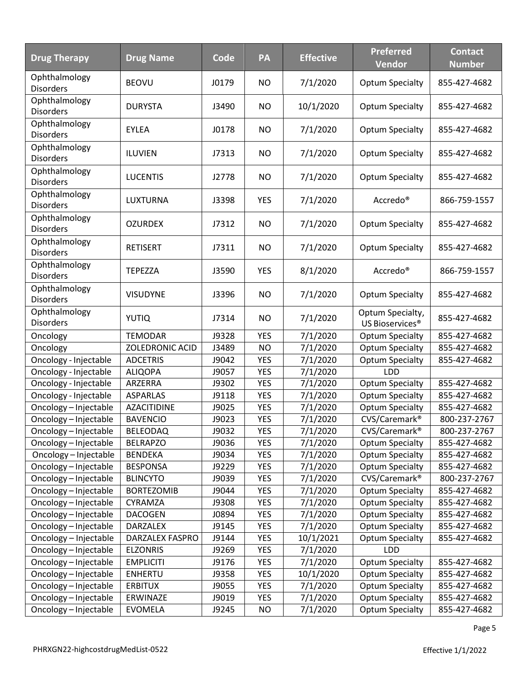| <b>Drug Therapy</b>               | <b>Drug Name</b>   | Code  | PA         | <b>Effective</b> | <b>Preferred</b><br><b>Vendor</b>               | <b>Contact</b><br><b>Number</b> |
|-----------------------------------|--------------------|-------|------------|------------------|-------------------------------------------------|---------------------------------|
| Ophthalmology<br><b>Disorders</b> | <b>BEOVU</b>       | J0179 | <b>NO</b>  | 7/1/2020         | <b>Optum Specialty</b>                          | 855-427-4682                    |
| Ophthalmology<br><b>Disorders</b> | <b>DURYSTA</b>     | J3490 | <b>NO</b>  | 10/1/2020        | <b>Optum Specialty</b>                          | 855-427-4682                    |
| Ophthalmology<br><b>Disorders</b> | <b>EYLEA</b>       | J0178 | <b>NO</b>  | 7/1/2020         | <b>Optum Specialty</b>                          | 855-427-4682                    |
| Ophthalmology<br><b>Disorders</b> | ILUVIEN            | J7313 | <b>NO</b>  | 7/1/2020         | <b>Optum Specialty</b>                          | 855-427-4682                    |
| Ophthalmology<br><b>Disorders</b> | <b>LUCENTIS</b>    | J2778 | <b>NO</b>  | 7/1/2020         | <b>Optum Specialty</b>                          | 855-427-4682                    |
| Ophthalmology<br><b>Disorders</b> | LUXTURNA           | J3398 | <b>YES</b> | 7/1/2020         | Accredo <sup>®</sup>                            | 866-759-1557                    |
| Ophthalmology<br><b>Disorders</b> | <b>OZURDEX</b>     | J7312 | <b>NO</b>  | 7/1/2020         | <b>Optum Specialty</b>                          | 855-427-4682                    |
| Ophthalmology<br><b>Disorders</b> | <b>RETISERT</b>    | J7311 | <b>NO</b>  | 7/1/2020         | <b>Optum Specialty</b>                          | 855-427-4682                    |
| Ophthalmology<br><b>Disorders</b> | <b>TEPEZZA</b>     | J3590 | <b>YES</b> | 8/1/2020         | Accredo <sup>®</sup>                            | 866-759-1557                    |
| Ophthalmology<br><b>Disorders</b> | <b>VISUDYNE</b>    | J3396 | <b>NO</b>  | 7/1/2020         | <b>Optum Specialty</b>                          | 855-427-4682                    |
| Ophthalmology<br><b>Disorders</b> | <b>YUTIQ</b>       | J7314 | <b>NO</b>  | 7/1/2020         | Optum Specialty,<br>US Bioservices <sup>®</sup> | 855-427-4682                    |
| Oncology                          | <b>TEMODAR</b>     | J9328 | <b>YES</b> | 7/1/2020         | <b>Optum Specialty</b>                          | 855-427-4682                    |
| Oncology                          | ZOLEDRONIC ACID    | J3489 | <b>NO</b>  | 7/1/2020         | <b>Optum Specialty</b>                          | 855-427-4682                    |
| Oncology - Injectable             | <b>ADCETRIS</b>    | J9042 | <b>YES</b> | 7/1/2020         | <b>Optum Specialty</b>                          | 855-427-4682                    |
| Oncology - Injectable             | <b>ALIQOPA</b>     | J9057 | <b>YES</b> | 7/1/2020         | LDD                                             |                                 |
| Oncology - Injectable             | ARZERRA            | J9302 | <b>YES</b> | 7/1/2020         | <b>Optum Specialty</b>                          | 855-427-4682                    |
| Oncology - Injectable             | <b>ASPARLAS</b>    | J9118 | <b>YES</b> | 7/1/2020         | <b>Optum Specialty</b>                          | 855-427-4682                    |
| Oncology-Injectable               | <b>AZACITIDINE</b> | J9025 | <b>YES</b> | 7/1/2020         | <b>Optum Specialty</b>                          | 855-427-4682                    |
| Oncology-Injectable               | <b>BAVENCIO</b>    | J9023 | <b>YES</b> | 7/1/2020         | CVS/Caremark <sup>®</sup>                       | 800-237-2767                    |
| Oncology - Injectable             | <b>BELEODAQ</b>    | J9032 | <b>YES</b> | 7/1/2020         | CVS/Caremark <sup>®</sup>                       | 800-237-2767                    |
| Oncology - Injectable             | <b>BELRAPZO</b>    | J9036 | <b>YES</b> | 7/1/2020         | <b>Optum Specialty</b>                          | 855-427-4682                    |
| Oncology - Injectable             | <b>BENDEKA</b>     | J9034 | <b>YES</b> | 7/1/2020         | <b>Optum Specialty</b>                          | 855-427-4682                    |
| Oncology - Injectable             | <b>BESPONSA</b>    | J9229 | <b>YES</b> | 7/1/2020         | <b>Optum Specialty</b>                          | 855-427-4682                    |
| Oncology - Injectable             | <b>BLINCYTO</b>    | J9039 | <b>YES</b> | 7/1/2020         | CVS/Caremark <sup>®</sup>                       | 800-237-2767                    |
| Oncology-Injectable               | <b>BORTEZOMIB</b>  | J9044 | <b>YES</b> | 7/1/2020         | <b>Optum Specialty</b>                          | 855-427-4682                    |
| Oncology - Injectable             | CYRAMZA            | J9308 | <b>YES</b> | 7/1/2020         | <b>Optum Specialty</b>                          | 855-427-4682                    |
| Oncology - Injectable             | <b>DACOGEN</b>     | J0894 | YES        | 7/1/2020         | <b>Optum Specialty</b>                          | 855-427-4682                    |
| Oncology - Injectable             | DARZALEX           | J9145 | <b>YES</b> | 7/1/2020         | <b>Optum Specialty</b>                          | 855-427-4682                    |
| Oncology - Injectable             | DARZALEX FASPRO    | J9144 | <b>YES</b> | 10/1/2021        | <b>Optum Specialty</b>                          | 855-427-4682                    |
| Oncology - Injectable             | <b>ELZONRIS</b>    | J9269 | <b>YES</b> | 7/1/2020         | <b>LDD</b>                                      |                                 |
| Oncology - Injectable             | <b>EMPLICITI</b>   | J9176 | <b>YES</b> | 7/1/2020         | <b>Optum Specialty</b>                          | 855-427-4682                    |
| Oncology - Injectable             | <b>ENHERTU</b>     | J9358 | <b>YES</b> | 10/1/2020        | <b>Optum Specialty</b>                          | 855-427-4682                    |
| Oncology - Injectable             | <b>ERBITUX</b>     | J9055 | <b>YES</b> | 7/1/2020         | <b>Optum Specialty</b>                          | 855-427-4682                    |
| Oncology - Injectable             | ERWINAZE           | J9019 | <b>YES</b> | 7/1/2020         | <b>Optum Specialty</b>                          | 855-427-4682                    |
| Oncology - Injectable             | <b>EVOMELA</b>     | J9245 | <b>NO</b>  | 7/1/2020         | <b>Optum Specialty</b>                          | 855-427-4682                    |

Page 5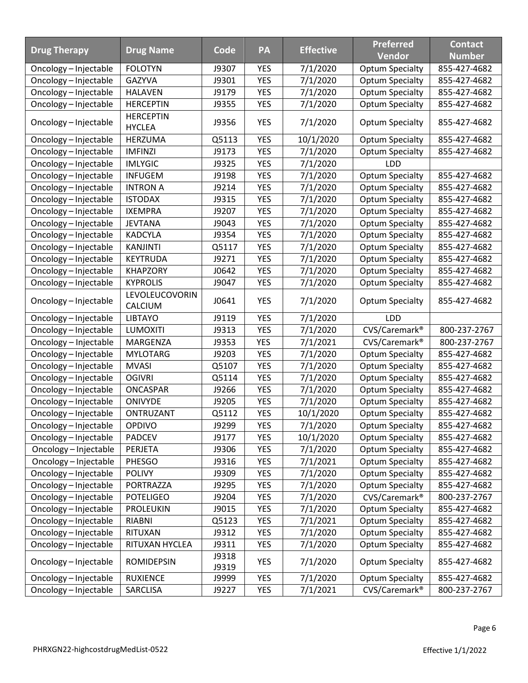|                       |                           |                |            |                  | <b>Preferred</b>          | <b>Contact</b> |
|-----------------------|---------------------------|----------------|------------|------------------|---------------------------|----------------|
| <b>Drug Therapy</b>   | <b>Drug Name</b>          | Code           | PA         | <b>Effective</b> | <b>Vendor</b>             | <b>Number</b>  |
| Oncology - Injectable | <b>FOLOTYN</b>            | J9307          | <b>YES</b> | 7/1/2020         | <b>Optum Specialty</b>    | 855-427-4682   |
| Oncology - Injectable | <b>GAZYVA</b>             | J9301          | <b>YES</b> | 7/1/2020         | <b>Optum Specialty</b>    | 855-427-4682   |
| Oncology - Injectable | <b>HALAVEN</b>            | J9179          | <b>YES</b> | 7/1/2020         | <b>Optum Specialty</b>    | 855-427-4682   |
| Oncology - Injectable | <b>HERCEPTIN</b>          | J9355          | <b>YES</b> | 7/1/2020         | <b>Optum Specialty</b>    | 855-427-4682   |
| Oncology - Injectable | <b>HERCEPTIN</b>          | J9356          | <b>YES</b> | 7/1/2020         | <b>Optum Specialty</b>    | 855-427-4682   |
|                       | <b>HYCLEA</b>             |                |            |                  |                           |                |
| Oncology-Injectable   | HERZUMA                   | Q5113          | <b>YES</b> | 10/1/2020        | <b>Optum Specialty</b>    | 855-427-4682   |
| Oncology - Injectable | <b>IMFINZI</b>            | J9173          | <b>YES</b> | 7/1/2020         | <b>Optum Specialty</b>    | 855-427-4682   |
| Oncology - Injectable | <b>IMLYGIC</b>            | J9325          | <b>YES</b> | 7/1/2020         | LDD                       |                |
| Oncology - Injectable | <b>INFUGEM</b>            | J9198          | <b>YES</b> | 7/1/2020         | <b>Optum Specialty</b>    | 855-427-4682   |
| Oncology - Injectable | <b>INTRON A</b>           | J9214          | <b>YES</b> | 7/1/2020         | <b>Optum Specialty</b>    | 855-427-4682   |
| Oncology - Injectable | <b>ISTODAX</b>            | J9315          | <b>YES</b> | 7/1/2020         | <b>Optum Specialty</b>    | 855-427-4682   |
| Oncology - Injectable | <b>IXEMPRA</b>            | J9207          | <b>YES</b> | 7/1/2020         | <b>Optum Specialty</b>    | 855-427-4682   |
| Oncology - Injectable | <b>JEVTANA</b>            | J9043          | <b>YES</b> | 7/1/2020         | <b>Optum Specialty</b>    | 855-427-4682   |
| Oncology - Injectable | <b>KADCYLA</b>            | J9354          | <b>YES</b> | 7/1/2020         | <b>Optum Specialty</b>    | 855-427-4682   |
| Oncology - Injectable | <b>KANJINTI</b>           | Q5117          | <b>YES</b> | 7/1/2020         | <b>Optum Specialty</b>    | 855-427-4682   |
| Oncology - Injectable | <b>KEYTRUDA</b>           | J9271          | <b>YES</b> | 7/1/2020         | <b>Optum Specialty</b>    | 855-427-4682   |
| Oncology - Injectable | <b>KHAPZORY</b>           | J0642          | YES        | 7/1/2020         | <b>Optum Specialty</b>    | 855-427-4682   |
| Oncology - Injectable | <b>KYPROLIS</b>           | J9047          | <b>YES</b> | 7/1/2020         | <b>Optum Specialty</b>    | 855-427-4682   |
| Oncology - Injectable | LEVOLEUCOVORIN<br>CALCIUM | J0641          | <b>YES</b> | 7/1/2020         | <b>Optum Specialty</b>    | 855-427-4682   |
| Oncology - Injectable | <b>LIBTAYO</b>            | J9119          | <b>YES</b> | 7/1/2020         | <b>LDD</b>                |                |
| Oncology - Injectable | <b>LUMOXITI</b>           | J9313          | <b>YES</b> | 7/1/2020         | CVS/Caremark <sup>®</sup> | 800-237-2767   |
| Oncology - Injectable | MARGENZA                  | J9353          | <b>YES</b> | 7/1/2021         | CVS/Caremark <sup>®</sup> | 800-237-2767   |
| Oncology - Injectable | <b>MYLOTARG</b>           | J9203          | <b>YES</b> | 7/1/2020         | <b>Optum Specialty</b>    | 855-427-4682   |
| Oncology - Injectable | <b>MVASI</b>              | Q5107          | <b>YES</b> | 7/1/2020         | <b>Optum Specialty</b>    | 855-427-4682   |
| Oncology - Injectable | <b>OGIVRI</b>             | Q5114          | <b>YES</b> | 7/1/2020         | <b>Optum Specialty</b>    | 855-427-4682   |
| Oncology - Injectable | ONCASPAR                  | J9266          | <b>YES</b> | 7/1/2020         | <b>Optum Specialty</b>    | 855-427-4682   |
| Oncology - Injectable | <b>ONIVYDE</b>            | J9205          | <b>YES</b> | 7/1/2020         | <b>Optum Specialty</b>    | 855-427-4682   |
| Oncology - Injectable | ONTRUZANT                 | Q5112          | <b>YES</b> | 10/1/2020        | <b>Optum Specialty</b>    | 855-427-4682   |
| Oncology - Injectable | <b>OPDIVO</b>             | J9299          | <b>YES</b> | 7/1/2020         | <b>Optum Specialty</b>    | 855-427-4682   |
| Oncology - Injectable | <b>PADCEV</b>             | J9177          | YES        | 10/1/2020        | <b>Optum Specialty</b>    | 855-427-4682   |
| Oncology - Injectable | PERJETA                   | J9306          | <b>YES</b> | 7/1/2020         | <b>Optum Specialty</b>    | 855-427-4682   |
| Oncology - Injectable | PHESGO                    | J9316          | <b>YES</b> | 7/1/2021         | <b>Optum Specialty</b>    | 855-427-4682   |
| Oncology - Injectable | <b>POLIVY</b>             | J9309          | <b>YES</b> | 7/1/2020         | <b>Optum Specialty</b>    | 855-427-4682   |
| Oncology - Injectable | PORTRAZZA                 | J9295          | <b>YES</b> | 7/1/2020         | <b>Optum Specialty</b>    | 855-427-4682   |
| Oncology - Injectable | <b>POTELIGEO</b>          | J9204          | <b>YES</b> | 7/1/2020         | CVS/Caremark <sup>®</sup> | 800-237-2767   |
| Oncology - Injectable | <b>PROLEUKIN</b>          | J9015          | YES        | 7/1/2020         | <b>Optum Specialty</b>    | 855-427-4682   |
| Oncology - Injectable | <b>RIABNI</b>             | Q5123          | <b>YES</b> | 7/1/2021         | <b>Optum Specialty</b>    | 855-427-4682   |
| Oncology - Injectable | RITUXAN                   | J9312          | <b>YES</b> | 7/1/2020         | <b>Optum Specialty</b>    | 855-427-4682   |
| Oncology - Injectable | RITUXAN HYCLEA            | J9311          | <b>YES</b> | 7/1/2020         | <b>Optum Specialty</b>    | 855-427-4682   |
| Oncology - Injectable | <b>ROMIDEPSIN</b>         | J9318<br>J9319 | YES        | 7/1/2020         | <b>Optum Specialty</b>    | 855-427-4682   |
| Oncology - Injectable | <b>RUXIENCE</b>           | J9999          | <b>YES</b> | 7/1/2020         | <b>Optum Specialty</b>    | 855-427-4682   |
| Oncology - Injectable | SARCLISA                  | J9227          | YES        | 7/1/2021         | CVS/Caremark <sup>®</sup> | 800-237-2767   |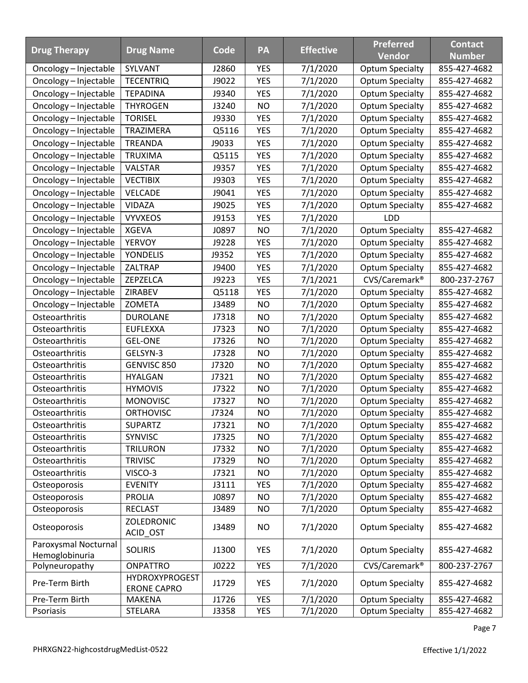|                                  |                       |       |            |                  | <b>Preferred</b>          | <b>Contact</b> |
|----------------------------------|-----------------------|-------|------------|------------------|---------------------------|----------------|
| <b>Drug Therapy</b>              | <b>Drug Name</b>      | Code  | PA         | <b>Effective</b> | Vendor                    | <b>Number</b>  |
| Oncology – Injectable            | SYLVANT               | J2860 | <b>YES</b> | 7/1/2020         | <b>Optum Specialty</b>    | 855-427-4682   |
| Oncology - Injectable            | <b>TECENTRIQ</b>      | J9022 | <b>YES</b> | 7/1/2020         | <b>Optum Specialty</b>    | 855-427-4682   |
| Oncology - Injectable            | <b>TEPADINA</b>       | J9340 | <b>YES</b> | 7/1/2020         | <b>Optum Specialty</b>    | 855-427-4682   |
| Oncology - Injectable            | <b>THYROGEN</b>       | J3240 | <b>NO</b>  | 7/1/2020         | <b>Optum Specialty</b>    | 855-427-4682   |
| Oncology - Injectable            | <b>TORISEL</b>        | J9330 | <b>YES</b> | 7/1/2020         | <b>Optum Specialty</b>    | 855-427-4682   |
| Oncology - Injectable            | <b>TRAZIMERA</b>      | Q5116 | <b>YES</b> | 7/1/2020         | <b>Optum Specialty</b>    | 855-427-4682   |
| Oncology - Injectable            | <b>TREANDA</b>        | J9033 | <b>YES</b> | 7/1/2020         | <b>Optum Specialty</b>    | 855-427-4682   |
| Oncology - Injectable            | <b>TRUXIMA</b>        | Q5115 | YES        | 7/1/2020         | <b>Optum Specialty</b>    | 855-427-4682   |
| Oncology - Injectable            | <b>VALSTAR</b>        | J9357 | <b>YES</b> | 7/1/2020         | <b>Optum Specialty</b>    | 855-427-4682   |
| Oncology - Injectable            | <b>VECTIBIX</b>       | J9303 | <b>YES</b> | 7/1/2020         | <b>Optum Specialty</b>    | 855-427-4682   |
| Oncology - Injectable            | <b>VELCADE</b>        | J9041 | <b>YES</b> | 7/1/2020         | <b>Optum Specialty</b>    | 855-427-4682   |
| Oncology - Injectable            | VIDAZA                | J9025 | <b>YES</b> | 7/1/2020         | <b>Optum Specialty</b>    | 855-427-4682   |
| Oncology - Injectable            | <b>VYVXEOS</b>        | J9153 | <b>YES</b> | 7/1/2020         | <b>LDD</b>                |                |
| Oncology - Injectable            | <b>XGEVA</b>          | J0897 | NO         | 7/1/2020         | <b>Optum Specialty</b>    | 855-427-4682   |
| Oncology - Injectable            | <b>YERVOY</b>         | J9228 | <b>YES</b> | 7/1/2020         | <b>Optum Specialty</b>    | 855-427-4682   |
| Oncology - Injectable            | <b>YONDELIS</b>       | J9352 | <b>YES</b> | 7/1/2020         | <b>Optum Specialty</b>    | 855-427-4682   |
| Oncology - Injectable            | ZALTRAP               | J9400 | <b>YES</b> | 7/1/2020         | <b>Optum Specialty</b>    | 855-427-4682   |
| Oncology - Injectable            | ZEPZELCA              | J9223 | <b>YES</b> | 7/1/2021         | CVS/Caremark <sup>®</sup> | 800-237-2767   |
| Oncology - Injectable            | ZIRABEV               | Q5118 | <b>YES</b> | 7/1/2020         | <b>Optum Specialty</b>    | 855-427-4682   |
| Oncology - Injectable            | <b>ZOMETA</b>         | J3489 | <b>NO</b>  | 7/1/2020         | <b>Optum Specialty</b>    | 855-427-4682   |
| Osteoarthritis                   | <b>DUROLANE</b>       | J7318 | <b>NO</b>  | 7/1/2020         | <b>Optum Specialty</b>    | 855-427-4682   |
| Osteoarthritis                   | <b>EUFLEXXA</b>       | J7323 | <b>NO</b>  | 7/1/2020         | <b>Optum Specialty</b>    | 855-427-4682   |
| Osteoarthritis                   | <b>GEL-ONE</b>        | J7326 | <b>NO</b>  | 7/1/2020         | <b>Optum Specialty</b>    | 855-427-4682   |
| Osteoarthritis                   | GELSYN-3              | J7328 | <b>NO</b>  | 7/1/2020         | <b>Optum Specialty</b>    | 855-427-4682   |
| Osteoarthritis                   | GENVISC 850           | J7320 | <b>NO</b>  | 7/1/2020         | <b>Optum Specialty</b>    | 855-427-4682   |
| Osteoarthritis                   | <b>HYALGAN</b>        | J7321 | <b>NO</b>  | 7/1/2020         | <b>Optum Specialty</b>    | 855-427-4682   |
| Osteoarthritis                   | <b>HYMOVIS</b>        | J7322 | <b>NO</b>  | 7/1/2020         | <b>Optum Specialty</b>    | 855-427-4682   |
| Osteoarthritis                   | <b>MONOVISC</b>       | J7327 | <b>NO</b>  | 7/1/2020         | <b>Optum Specialty</b>    | 855-427-4682   |
| Osteoarthritis                   | <b>ORTHOVISC</b>      | J7324 | <b>NO</b>  | 7/1/2020         | <b>Optum Specialty</b>    | 855-427-4682   |
| Osteoarthritis                   | <b>SUPARTZ</b>        | J7321 | <b>NO</b>  | 7/1/2020         | <b>Optum Specialty</b>    | 855-427-4682   |
| Osteoarthritis                   | SYNVISC               | J7325 | <b>NO</b>  | 7/1/2020         | <b>Optum Specialty</b>    | 855-427-4682   |
| Osteoarthritis                   | <b>TRILURON</b>       | J7332 | <b>NO</b>  | 7/1/2020         | <b>Optum Specialty</b>    | 855-427-4682   |
| Osteoarthritis                   | <b>TRIVISC</b>        | J7329 | <b>NO</b>  | 7/1/2020         | <b>Optum Specialty</b>    | 855-427-4682   |
| Osteoarthritis                   | VISCO-3               | J7321 | <b>NO</b>  | 7/1/2020         | <b>Optum Specialty</b>    | 855-427-4682   |
| Osteoporosis                     | <b>EVENITY</b>        | J3111 | <b>YES</b> | 7/1/2020         | <b>Optum Specialty</b>    | 855-427-4682   |
| Osteoporosis                     | PROLIA                | J0897 | <b>NO</b>  | 7/1/2020         | <b>Optum Specialty</b>    | 855-427-4682   |
| Osteoporosis                     | <b>RECLAST</b>        | J3489 | <b>NO</b>  | 7/1/2020         | <b>Optum Specialty</b>    | 855-427-4682   |
| Osteoporosis                     | <b>ZOLEDRONIC</b>     | J3489 | NO.        | 7/1/2020         | <b>Optum Specialty</b>    | 855-427-4682   |
|                                  | ACID_OST              |       |            |                  |                           |                |
| Paroxysmal Nocturnal             | <b>SOLIRIS</b>        | J1300 | <b>YES</b> | 7/1/2020         | <b>Optum Specialty</b>    | 855-427-4682   |
| Hemoglobinuria<br>Polyneuropathy | <b>ONPATTRO</b>       | J0222 | <b>YES</b> | 7/1/2020         | CVS/Caremark <sup>®</sup> | 800-237-2767   |
|                                  | <b>HYDROXYPROGEST</b> |       |            |                  |                           |                |
| Pre-Term Birth                   | <b>ERONE CAPRO</b>    | J1729 | <b>YES</b> | 7/1/2020         | <b>Optum Specialty</b>    | 855-427-4682   |
| Pre-Term Birth                   | <b>MAKENA</b>         | J1726 | <b>YES</b> | 7/1/2020         | <b>Optum Specialty</b>    | 855-427-4682   |
| Psoriasis                        | <b>STELARA</b>        | J3358 | YES        | 7/1/2020         | <b>Optum Specialty</b>    | 855-427-4682   |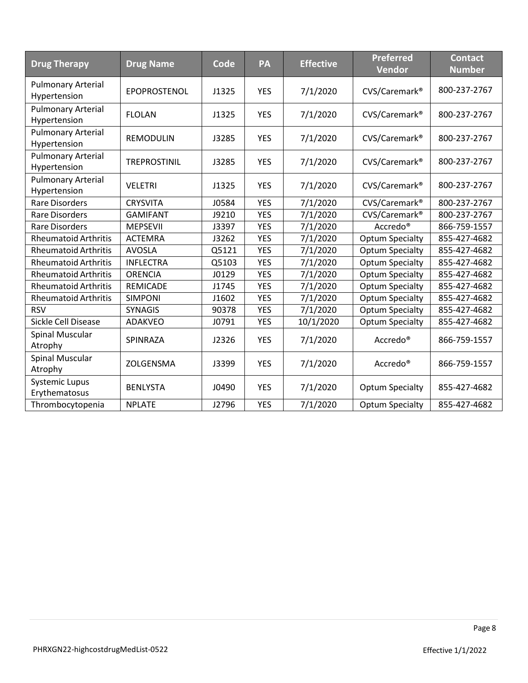| <b>Drug Therapy</b>                       | <b>Drug Name</b>    | Code  | PA         | <b>Effective</b> | <b>Preferred</b><br><b>Vendor</b> | <b>Contact</b><br><b>Number</b> |
|-------------------------------------------|---------------------|-------|------------|------------------|-----------------------------------|---------------------------------|
| <b>Pulmonary Arterial</b><br>Hypertension | EPOPROSTENOL        | J1325 | <b>YES</b> | 7/1/2020         | CVS/Caremark <sup>®</sup>         | 800-237-2767                    |
| <b>Pulmonary Arterial</b><br>Hypertension | <b>FLOLAN</b>       | J1325 | <b>YES</b> | 7/1/2020         | CVS/Caremark <sup>®</sup>         | 800-237-2767                    |
| <b>Pulmonary Arterial</b><br>Hypertension | <b>REMODULIN</b>    | J3285 | <b>YES</b> | 7/1/2020         | CVS/Caremark <sup>®</sup>         | 800-237-2767                    |
| <b>Pulmonary Arterial</b><br>Hypertension | <b>TREPROSTINIL</b> | J3285 | <b>YES</b> | 7/1/2020         | CVS/Caremark <sup>®</sup>         | 800-237-2767                    |
| <b>Pulmonary Arterial</b><br>Hypertension | <b>VELETRI</b>      | J1325 | <b>YES</b> | 7/1/2020         | CVS/Caremark <sup>®</sup>         | 800-237-2767                    |
| <b>Rare Disorders</b>                     | <b>CRYSVITA</b>     | J0584 | <b>YES</b> | 7/1/2020         | CVS/Caremark <sup>®</sup>         | 800-237-2767                    |
| <b>Rare Disorders</b>                     | <b>GAMIFANT</b>     | J9210 | <b>YES</b> | 7/1/2020         | CVS/Caremark <sup>®</sup>         | 800-237-2767                    |
| <b>Rare Disorders</b>                     | <b>MEPSEVII</b>     | J3397 | <b>YES</b> | 7/1/2020         | Accredo <sup>®</sup>              | 866-759-1557                    |
| <b>Rheumatoid Arthritis</b>               | <b>ACTEMRA</b>      | J3262 | <b>YES</b> | 7/1/2020         | <b>Optum Specialty</b>            | 855-427-4682                    |
| <b>Rheumatoid Arthritis</b>               | <b>AVOSLA</b>       | Q5121 | <b>YES</b> | 7/1/2020         | <b>Optum Specialty</b>            | 855-427-4682                    |
| <b>Rheumatoid Arthritis</b>               | <b>INFLECTRA</b>    | Q5103 | <b>YES</b> | 7/1/2020         | <b>Optum Specialty</b>            | 855-427-4682                    |
| <b>Rheumatoid Arthritis</b>               | <b>ORENCIA</b>      | J0129 | <b>YES</b> | 7/1/2020         | <b>Optum Specialty</b>            | 855-427-4682                    |
| <b>Rheumatoid Arthritis</b>               | <b>REMICADE</b>     | J1745 | <b>YES</b> | 7/1/2020         | <b>Optum Specialty</b>            | 855-427-4682                    |
| <b>Rheumatoid Arthritis</b>               | <b>SIMPONI</b>      | J1602 | <b>YES</b> | 7/1/2020         | <b>Optum Specialty</b>            | 855-427-4682                    |
| <b>RSV</b>                                | <b>SYNAGIS</b>      | 90378 | <b>YES</b> | 7/1/2020         | <b>Optum Specialty</b>            | 855-427-4682                    |
| Sickle Cell Disease                       | ADAKVEO             | J0791 | <b>YES</b> | 10/1/2020        | <b>Optum Specialty</b>            | 855-427-4682                    |
| Spinal Muscular<br>Atrophy                | SPINRAZA            | J2326 | <b>YES</b> | 7/1/2020         | Accredo <sup>®</sup>              | 866-759-1557                    |
| <b>Spinal Muscular</b><br>Atrophy         | ZOLGENSMA           | J3399 | <b>YES</b> | 7/1/2020         | Accredo <sup>®</sup>              | 866-759-1557                    |
| <b>Systemic Lupus</b><br>Erythematosus    | <b>BENLYSTA</b>     | J0490 | <b>YES</b> | 7/1/2020         | <b>Optum Specialty</b>            | 855-427-4682                    |
| Thrombocytopenia                          | <b>NPLATE</b>       | J2796 | <b>YES</b> | 7/1/2020         | <b>Optum Specialty</b>            | 855-427-4682                    |